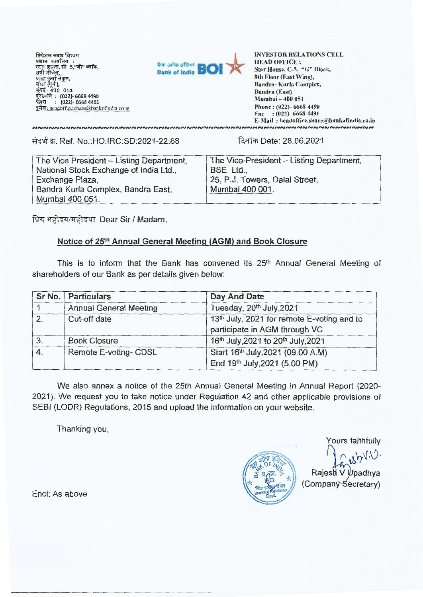निवेशक संबंध ' प्रधान कार्यालूय :  $8\overline{5}$ प्रधान कायालय :<br>स्टाूर हाउस, सी–5,"जी" ब्लॉक,  $\frac{1}{4}$ बई - 400 051 (022)- 6658 4490 : (022)- 6668 4491 (022)- 6668 4490 : (022)- 6668 4491 : headoffice.share@bankofindia.co.in शक संबंध विभाग<br>।न कार्यालय :<br>र हाउस, सी–5,"जी" ब्लॉक,<br>। मंजिल. बाद्रा कुलो संकुल*,*<br>बांद्रा (पूर्व ),<br>मुंबई <u>-</u> 400 051



INVESTOR RELATIONS CELL<br>HEAD OFFICE : HEAD OFFICE : Star House, C-5, "G" Block, Star House, C-5, "G" Block, 8th Floor (East Wing), 8th Floor (East Wing), Bandra- Kuria Complex, Bandra (East) Mumbai —400 051 Phone : (022)- 6668 4490 Fax : (022)- 6668 4491 Bandra- Kurla Complex,<br>Bandra (East)<br>Mumbai – 400 051<br>Phone : (022)- 6668 4490<br>Fax : (022)- 6668 4491<br>E-Mail : headoffice.share@bankofindia.co.in

fig T. Ref. No.:HO:IRC:SD:2021-22:88 Tk-4t - **T. Ref. No.:HO:IRC:SD:2021-22:88** 

NNNNNNNNNNNNNNNNNNNNNNNNNNNNNNNNNN

दिनांक Date: 28.06.2021

| The Vice President - Listing Department, | The Vice-President - Listing Department, |
|------------------------------------------|------------------------------------------|
| National Stock Exchange of India Ltd.,   | BSE Ltd.,                                |
| Exchange Plaza,                          | 25, P.J. Towers, Dalal Street,           |
| Bandra Kurla Complex, Bandra East,       | Mumbai 400 001.                          |
| Mumbai 400 051.                          |                                          |

प्रिय महोदय/महोदया Dear Sir / Madam,

# **Notice of 25th Annual General Meeting (AGM) and Book Closure**  Notice of 25th Annual General Meeting (AGM) and Book Closure

This is to inform that the Bank has convened its 25th Annual General Meeting of **This is to inform that the Bank has convened its 25th Annual General Meeting of**  shareholders of our Bank as per details given below: **shareholders of our Bank as per details given below:** 

|    | Sr No.   Particulars          | Day And Date                                                                |
|----|-------------------------------|-----------------------------------------------------------------------------|
| 1. | <b>Annual General Meeting</b> | Tuesday, 20th July, 2021                                                    |
| 2. | Cut-off date                  | 13th July, 2021 for remote E-voting and to<br>participate in AGM through VC |
| 3. | <b>Book Closure</b>           | 16th July, 2021 to 20th July, 2021                                          |
| 4. | Remote E-voting- CDSL         | Start 16th July, 2021 (09.00 A.M)<br>End 19th July, 2021 (5.00 PM)          |

We also annex a notice of the 25th Annual General Meeting in Annual Report (2020- **We also annex a notice of the 25th Annual General Meeting in Annual Report (2020-** 2021). We request you to take notice under Regulation 42 and other applicable provisions of **2021). We request you to take notice under Regulation 42 and other applicable provisions of**  SEBI (LODR) Regulations, 2015 and upload the information on your website. **SEBI (LODR) Regulations, 2015 and upload the information on your website.** 

Thanking you, **Thanking you,** 

Investor Relations

Yours faithfully **Yours faithfully**   $VV_0$ 

Rajesh V *y*padhya **ALSA ARTIC (Company Secretary)** 

End: As above **End: As above**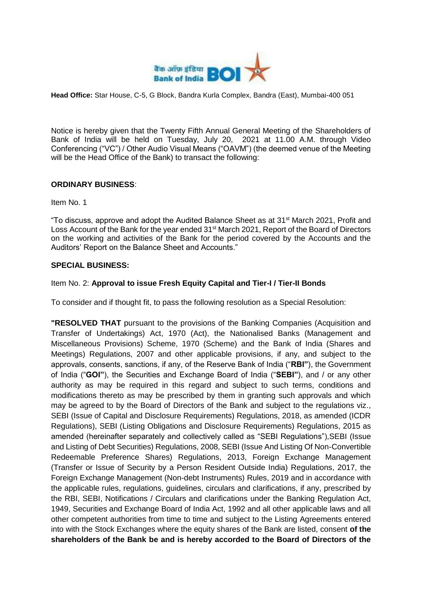

**Head Office:** Star House, C-5, G Block, Bandra Kurla Complex, Bandra (East), Mumbai-400 051

Notice is hereby given that the Twenty Fifth Annual General Meeting of the Shareholders of Bank of India will be held on Tuesday, July 20, 2021 at 11.00 A.M. through Video Conferencing ("VC") / Other Audio Visual Means ("OAVM") (the deemed venue of the Meeting will be the Head Office of the Bank) to transact the following:

# **ORDINARY BUSINESS**:

Item No. 1

"To discuss, approve and adopt the Audited Balance Sheet as at 31<sup>st</sup> March 2021, Profit and Loss Account of the Bank for the year ended 31<sup>st</sup> March 2021, Report of the Board of Directors on the working and activities of the Bank for the period covered by the Accounts and the Auditors' Report on the Balance Sheet and Accounts."

# **SPECIAL BUSINESS:**

# Item No. 2: **Approval to issue Fresh Equity Capital and Tier-I / Tier-II Bonds**

To consider and if thought fit, to pass the following resolution as a Special Resolution:

**"RESOLVED THAT** pursuant to the provisions of the Banking Companies (Acquisition and Transfer of Undertakings) Act, 1970 (Act), the Nationalised Banks (Management and Miscellaneous Provisions) Scheme, 1970 (Scheme) and the Bank of India (Shares and Meetings) Regulations, 2007 and other applicable provisions, if any, and subject to the approvals, consents, sanctions, if any, of the Reserve Bank of India ("**RBI"**), the Government of India ("**GOI"**), the Securities and Exchange Board of India ("**SEBI"**), and / or any other authority as may be required in this regard and subject to such terms, conditions and modifications thereto as may be prescribed by them in granting such approvals and which may be agreed to by the Board of Directors of the Bank and subject to the regulations viz., SEBI (Issue of Capital and Disclosure Requirements) Regulations, 2018, as amended (ICDR Regulations), SEBI (Listing Obligations and Disclosure Requirements) Regulations, 2015 as amended (hereinafter separately and collectively called as "SEBI Regulations"),SEBI (Issue and Listing of Debt Securities) Regulations, 2008, SEBI (Issue And Listing Of Non-Convertible Redeemable Preference Shares) Regulations, 2013, Foreign Exchange Management (Transfer or Issue of Security by a Person Resident Outside India) Regulations, 2017, the Foreign Exchange Management (Non-debt Instruments) Rules, 2019 and in accordance with the applicable rules, regulations, guidelines, circulars and clarifications, if any, prescribed by the RBI, SEBI, Notifications / Circulars and clarifications under the Banking Regulation Act, 1949, Securities and Exchange Board of India Act, 1992 and all other applicable laws and all other competent authorities from time to time and subject to the Listing Agreements entered into with the Stock Exchanges where the equity shares of the Bank are listed, consent **of the shareholders of the Bank be and is hereby accorded to the Board of Directors of the**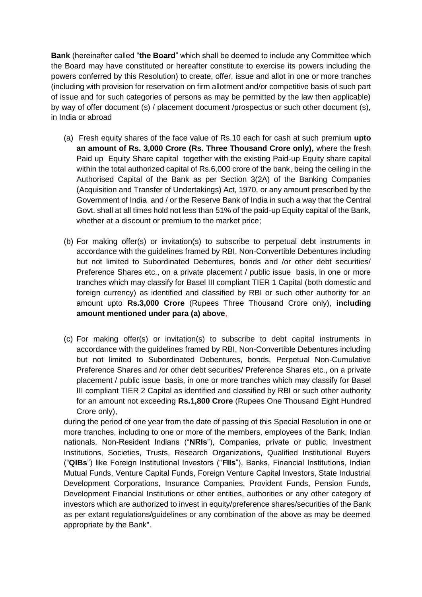**Bank** (hereinafter called "**the Board**" which shall be deemed to include any Committee which the Board may have constituted or hereafter constitute to exercise its powers including the powers conferred by this Resolution) to create, offer, issue and allot in one or more tranches (including with provision for reservation on firm allotment and/or competitive basis of such part of issue and for such categories of persons as may be permitted by the law then applicable) by way of offer document (s) / placement document /prospectus or such other document (s), in India or abroad

- (a) Fresh equity shares of the face value of Rs.10 each for cash at such premium **upto an amount of Rs. 3,000 Crore (Rs. Three Thousand Crore only),** where the fresh Paid up Equity Share capital together with the existing Paid-up Equity share capital within the total authorized capital of Rs.6,000 crore of the bank, being the ceiling in the Authorised Capital of the Bank as per Section 3(2A) of the Banking Companies (Acquisition and Transfer of Undertakings) Act, 1970, or any amount prescribed by the Government of India and / or the Reserve Bank of India in such a way that the Central Govt. shall at all times hold not less than 51% of the paid-up Equity capital of the Bank, whether at a discount or premium to the market price;
- (b) For making offer(s) or invitation(s) to subscribe to perpetual debt instruments in accordance with the guidelines framed by RBI, Non-Convertible Debentures including but not limited to Subordinated Debentures, bonds and /or other debt securities/ Preference Shares etc., on a private placement / public issue basis, in one or more tranches which may classify for Basel III compliant TIER 1 Capital (both domestic and foreign currency) as identified and classified by RBI or such other authority for an amount upto **Rs.3,000 Crore** (Rupees Three Thousand Crore only), **including amount mentioned under para (a) above**,
- (c) For making offer(s) or invitation(s) to subscribe to debt capital instruments in accordance with the guidelines framed by RBI, Non-Convertible Debentures including but not limited to Subordinated Debentures, bonds, Perpetual Non-Cumulative Preference Shares and /or other debt securities/ Preference Shares etc., on a private placement / public issue basis, in one or more tranches which may classify for Basel III compliant TIER 2 Capital as identified and classified by RBI or such other authority for an amount not exceeding **Rs.1,800 Crore** (Rupees One Thousand Eight Hundred Crore only),

during the period of one year from the date of passing of this Special Resolution in one or more tranches, including to one or more of the members, employees of the Bank, Indian nationals, Non-Resident Indians ("**NRIs**"), Companies, private or public, Investment Institutions, Societies, Trusts, Research Organizations, Qualified Institutional Buyers ("**QIBs**") like Foreign Institutional Investors ("**FIIs**"), Banks, Financial Institutions, Indian Mutual Funds, Venture Capital Funds, Foreign Venture Capital Investors, State Industrial Development Corporations, Insurance Companies, Provident Funds, Pension Funds, Development Financial Institutions or other entities, authorities or any other category of investors which are authorized to invest in equity/preference shares/securities of the Bank as per extant regulations/guidelines or any combination of the above as may be deemed appropriate by the Bank".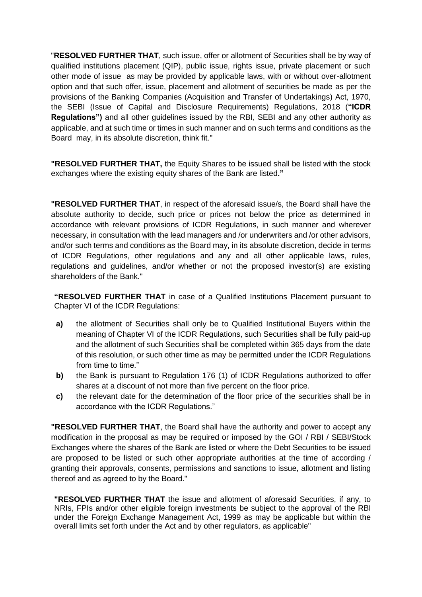"**RESOLVED FURTHER THAT**, such issue, offer or allotment of Securities shall be by way of qualified institutions placement (QIP), public issue, rights issue, private placement or such other mode of issue as may be provided by applicable laws, with or without over-allotment option and that such offer, issue, placement and allotment of securities be made as per the provisions of the Banking Companies (Acquisition and Transfer of Undertakings) Act, 1970, the SEBI (Issue of Capital and Disclosure Requirements) Regulations, 2018 (**"ICDR Regulations")** and all other guidelines issued by the RBI, SEBI and any other authority as applicable, and at such time or times in such manner and on such terms and conditions as the Board may, in its absolute discretion, think fit."

**"RESOLVED FURTHER THAT,** the Equity Shares to be issued shall be listed with the stock exchanges where the existing equity shares of the Bank are listed**."**

**"RESOLVED FURTHER THAT**, in respect of the aforesaid issue/s, the Board shall have the absolute authority to decide, such price or prices not below the price as determined in accordance with relevant provisions of ICDR Regulations, in such manner and wherever necessary, in consultation with the lead managers and /or underwriters and /or other advisors, and/or such terms and conditions as the Board may, in its absolute discretion, decide in terms of ICDR Regulations, other regulations and any and all other applicable laws, rules, regulations and guidelines, and/or whether or not the proposed investor(s) are existing shareholders of the Bank."

**"RESOLVED FURTHER THAT** in case of a Qualified Institutions Placement pursuant to Chapter VI of the ICDR Regulations:

- **a)** the allotment of Securities shall only be to Qualified Institutional Buyers within the meaning of Chapter VI of the ICDR Regulations, such Securities shall be fully paid-up and the allotment of such Securities shall be completed within 365 days from the date of this resolution, or such other time as may be permitted under the ICDR Regulations from time to time."
- **b)** the Bank is pursuant to Regulation 176 (1) of ICDR Regulations authorized to offer shares at a discount of not more than five percent on the floor price.
- **c)** the relevant date for the determination of the floor price of the securities shall be in accordance with the ICDR Regulations."

**"RESOLVED FURTHER THAT**, the Board shall have the authority and power to accept any modification in the proposal as may be required or imposed by the GOI / RBI / SEBI/Stock Exchanges where the shares of the Bank are listed or where the Debt Securities to be issued are proposed to be listed or such other appropriate authorities at the time of according / granting their approvals, consents, permissions and sanctions to issue, allotment and listing thereof and as agreed to by the Board."

**"RESOLVED FURTHER THAT** the issue and allotment of aforesaid Securities, if any, to NRIs, FPIs and/or other eligible foreign investments be subject to the approval of the RBI under the Foreign Exchange Management Act, 1999 as may be applicable but within the overall limits set forth under the Act and by other regulators, as applicable"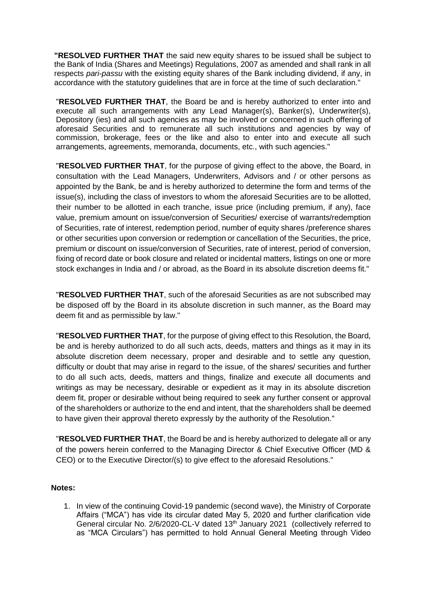**"RESOLVED FURTHER THAT** the said new equity shares to be issued shall be subject to the Bank of India (Shares and Meetings) Regulations, 2007 as amended and shall rank in all respects *pari-passu* with the existing equity shares of the Bank including dividend, if any, in accordance with the statutory guidelines that are in force at the time of such declaration."

"**RESOLVED FURTHER THAT**, the Board be and is hereby authorized to enter into and execute all such arrangements with any Lead Manager(s), Banker(s), Underwriter(s), Depository (ies) and all such agencies as may be involved or concerned in such offering of aforesaid Securities and to remunerate all such institutions and agencies by way of commission, brokerage, fees or the like and also to enter into and execute all such arrangements, agreements, memoranda, documents, etc., with such agencies."

"**RESOLVED FURTHER THAT**, for the purpose of giving effect to the above, the Board, in consultation with the Lead Managers, Underwriters, Advisors and / or other persons as appointed by the Bank, be and is hereby authorized to determine the form and terms of the issue(s), including the class of investors to whom the aforesaid Securities are to be allotted, their number to be allotted in each tranche, issue price (including premium, if any), face value, premium amount on issue/conversion of Securities/ exercise of warrants/redemption of Securities, rate of interest, redemption period, number of equity shares /preference shares or other securities upon conversion or redemption or cancellation of the Securities, the price, premium or discount on issue/conversion of Securities, rate of interest, period of conversion, fixing of record date or book closure and related or incidental matters, listings on one or more stock exchanges in India and / or abroad, as the Board in its absolute discretion deems fit."

"**RESOLVED FURTHER THAT**, such of the aforesaid Securities as are not subscribed may be disposed off by the Board in its absolute discretion in such manner, as the Board may deem fit and as permissible by law."

"**RESOLVED FURTHER THAT**, for the purpose of giving effect to this Resolution, the Board, be and is hereby authorized to do all such acts, deeds, matters and things as it may in its absolute discretion deem necessary, proper and desirable and to settle any question, difficulty or doubt that may arise in regard to the issue, of the shares/ securities and further to do all such acts, deeds, matters and things, finalize and execute all documents and writings as may be necessary, desirable or expedient as it may in its absolute discretion deem fit, proper or desirable without being required to seek any further consent or approval of the shareholders or authorize to the end and intent, that the shareholders shall be deemed to have given their approval thereto expressly by the authority of the Resolution."

"**RESOLVED FURTHER THAT**, the Board be and is hereby authorized to delegate all or any of the powers herein conferred to the Managing Director & Chief Executive Officer (MD & CEO) or to the Executive Director/(s) to give effect to the aforesaid Resolutions."

# **Notes:**

1. In view of the continuing Covid-19 pandemic (second wave), the Ministry of Corporate Affairs ("MCA") has vide its circular dated May 5, 2020 and further clarification vide General circular No. 2/6/2020-CL-V dated 13<sup>th</sup> January 2021 (collectively referred to as "MCA Circulars") has permitted to hold Annual General Meeting through Video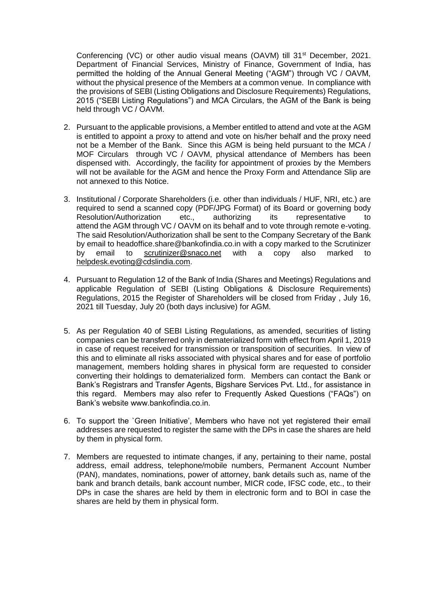Conferencing (VC) or other audio visual means (OAVM) till 31<sup>st</sup> December, 2021. Department of Financial Services, Ministry of Finance, Government of India, has permitted the holding of the Annual General Meeting ("AGM") through VC / OAVM, without the physical presence of the Members at a common venue. In compliance with the provisions of SEBI (Listing Obligations and Disclosure Requirements) Regulations, 2015 ("SEBI Listing Regulations") and MCA Circulars, the AGM of the Bank is being held through VC / OAVM.

- 2. Pursuant to the applicable provisions, a Member entitled to attend and vote at the AGM is entitled to appoint a proxy to attend and vote on his/her behalf and the proxy need not be a Member of the Bank. Since this AGM is being held pursuant to the MCA / MOF Circulars through VC / OAVM, physical attendance of Members has been dispensed with. Accordingly, the facility for appointment of proxies by the Members will not be available for the AGM and hence the Proxy Form and Attendance Slip are not annexed to this Notice.
- 3. Institutional / Corporate Shareholders (i.e. other than individuals / HUF, NRI, etc.) are required to send a scanned copy (PDF/JPG Format) of its Board or governing body Resolution/Authorization etc., authorizing its representative to attend the AGM through VC / OAVM on its behalf and to vote through remote e-voting. The said Resolution/Authorization shall be sent to the Company Secretary of the Bank by email to headoffice.share@bankofindia.co.in with a copy marked to the Scrutinizer by email to [scrutinizer@snaco.net](mailto:scrutinizer@snaco.net) with a copy also marked to [helpdesk.evoting@cdslindia.com.](mailto:helpdesk.evoting@cdslindia.com)
- 4. Pursuant to Regulation 12 of the Bank of India (Shares and Meetings) Regulations and applicable Regulation of SEBI (Listing Obligations & Disclosure Requirements) Regulations, 2015 the Register of Shareholders will be closed from Friday , July 16, 2021 till Tuesday, July 20 (both days inclusive) for AGM.
- 5. As per Regulation 40 of SEBI Listing Regulations, as amended, securities of listing companies can be transferred only in dematerialized form with effect from April 1, 2019 in case of request received for transmission or transposition of securities. In view of this and to eliminate all risks associated with physical shares and for ease of portfolio management, members holding shares in physical form are requested to consider converting their holdings to dematerialized form. Members can contact the Bank or Bank's Registrars and Transfer Agents, Bigshare Services Pvt. Ltd., for assistance in this regard. Members may also refer to Frequently Asked Questions ("FAQs") on Bank's website www.bankofindia.co.in.
- 6. To support the `Green Initiative', Members who have not yet registered their email addresses are requested to register the same with the DPs in case the shares are held by them in physical form.
- 7. Members are requested to intimate changes, if any, pertaining to their name, postal address, email address, telephone/mobile numbers, Permanent Account Number (PAN), mandates, nominations, power of attorney, bank details such as, name of the bank and branch details, bank account number, MICR code, IFSC code, etc., to their DPs in case the shares are held by them in electronic form and to BOI in case the shares are held by them in physical form.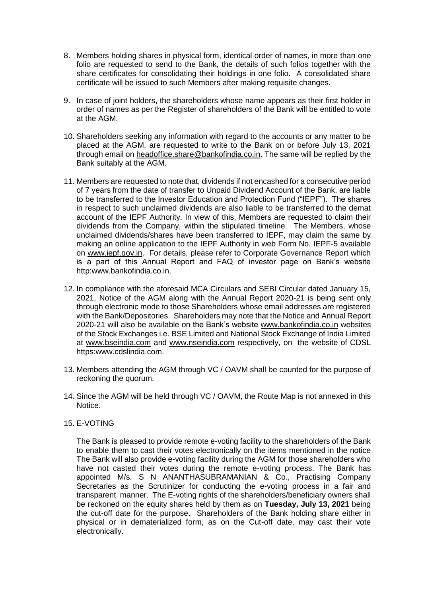- 8. Members holding shares in physical form, identical order of names, in more than one folio are requested to send to the Bank, the details of such folios together with the share certificates for consolidating their holdings in one folio. A consolidated share certificate will be issued to such Members after making requisite changes.
- 9. In case of joint holders, the shareholders whose name appears as their first holder in order of names as per the Register of shareholders of the Bank will be entitled to vote at the AGM.
- 10. Shareholders seeking any information with regard to the accounts or any matter to be placed at the AGM, are requested to write to the Bank on or before July 13, 2021 through email on [headoffice.share@bankofindia.co.in.](mailto:headoffice.share@bankofindia.co.in) The same will be replied by the Bank suitably at the AGM.
- 11. Members are requested to note that, dividends if not encashed for a consecutive period of 7 years from the date of transfer to Unpaid Dividend Account of the Bank, are liable to be transferred to the Investor Education and Protection Fund ("IEPF"). The shares in respect to such unclaimed dividends are also liable to be transferred to the demat account of the IEPF Authority. In view of this, Members are requested to claim their dividends from the Company, within the stipulated timeline. The Members, whose unclaimed dividends/shares have been transferred to IEPF, may claim the same by making an online application to the IEPF Authority in web Form No. IEPF-5 available on [www.iepf.gov.in.](http://www.iepf.gov.in/) For details, please refer to Corporate Governance Report which is a part of this Annual Report and FAQ of investor page on Bank's website http:www.bankofindia.co.in.
- 12. In compliance with the aforesaid MCA Circulars and SEBI Circular dated January 15, 2021, Notice of the AGM along with the Annual Report 2020-21 is being sent only through electronic mode to those Shareholders whose email addresses are registered with the Bank/Depositories. Shareholders may note that the Notice and Annual Report 2020-21 will also be available on the Bank's website [www.bankofindia.co.in](http://www.bankofindia.co.in/) websites of the Stock Exchanges i.e. BSE Limited and National Stock Exchange of India Limited at [www.bseindia.com](http://www.bseindia.com/) and [www.nseindia.com](http://www.nseindia.com/) respectively, on the website of CDSL https:www.cdslindia.com.
- 13. Members attending the AGM through VC / OAVM shall be counted for the purpose of reckoning the quorum.
- 14. Since the AGM will be held through VC / OAVM, the Route Map is not annexed in this Notice.
- 15. E-VOTING

The Bank is pleased to provide remote e-voting facility to the shareholders of the Bank to enable them to cast their votes electronically on the items mentioned in the notice The Bank will also provide e-voting facility during the AGM for those shareholders who have not casted their votes during the remote e-voting process. The Bank has appointed M/s. S N ANANTHASUBRAMANIAN & Co., Practising Company Secretaries as the Scrutinizer for conducting the e-voting process in a fair and transparent manner. The E-voting rights of the shareholders/beneficiary owners shall be reckoned on the equity shares held by them as on **Tuesday, July 13, 2021** being the cut-off date for the purpose. Shareholders of the Bank holding share either in physical or in dematerialized form, as on the Cut-off date, may cast their vote electronically.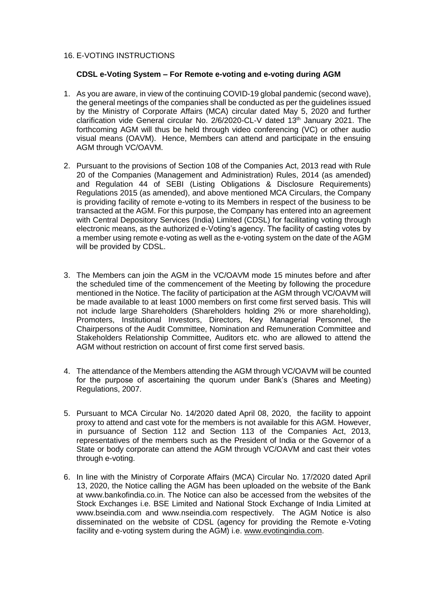#### 16. E-VOTING INSTRUCTIONS

#### **CDSL e-Voting System – For Remote e-voting and e-voting during AGM**

- 1. As you are aware, in view of the continuing COVID-19 global pandemic (second wave), the general meetings of the companies shall be conducted as per the guidelines issued by the Ministry of Corporate Affairs (MCA) circular dated May 5, 2020 and further clarification vide General circular No. 2/6/2020-CL-V dated 13<sup>th</sup> January 2021. The forthcoming AGM will thus be held through video conferencing (VC) or other audio visual means (OAVM). Hence, Members can attend and participate in the ensuing AGM through VC/OAVM.
- 2. Pursuant to the provisions of Section 108 of the Companies Act, 2013 read with Rule 20 of the Companies (Management and Administration) Rules, 2014 (as amended) and Regulation 44 of SEBI (Listing Obligations & Disclosure Requirements) Regulations 2015 (as amended), and above mentioned MCA Circulars, the Company is providing facility of remote e-voting to its Members in respect of the business to be transacted at the AGM. For this purpose, the Company has entered into an agreement with Central Depository Services (India) Limited (CDSL) for facilitating voting through electronic means, as the authorized e-Voting's agency. The facility of casting votes by a member using remote e-voting as well as the e-voting system on the date of the AGM will be provided by CDSL.
- 3. The Members can join the AGM in the VC/OAVM mode 15 minutes before and after the scheduled time of the commencement of the Meeting by following the procedure mentioned in the Notice. The facility of participation at the AGM through VC/OAVM will be made available to at least 1000 members on first come first served basis. This will not include large Shareholders (Shareholders holding 2% or more shareholding), Promoters, Institutional Investors, Directors, Key Managerial Personnel, the Chairpersons of the Audit Committee, Nomination and Remuneration Committee and Stakeholders Relationship Committee, Auditors etc. who are allowed to attend the AGM without restriction on account of first come first served basis.
- 4. The attendance of the Members attending the AGM through VC/OAVM will be counted for the purpose of ascertaining the quorum under Bank's (Shares and Meeting) Regulations, 2007.
- 5. Pursuant to MCA Circular No. 14/2020 dated April 08, 2020, the facility to appoint proxy to attend and cast vote for the members is not available for this AGM. However, in pursuance of Section 112 and Section 113 of the Companies Act, 2013, representatives of the members such as the President of India or the Governor of a State or body corporate can attend the AGM through VC/OAVM and cast their votes through e-voting.
- 6. In line with the Ministry of Corporate Affairs (MCA) Circular No. 17/2020 dated April 13, 2020, the Notice calling the AGM has been uploaded on the website of the Bank at www.bankofindia.co.in. The Notice can also be accessed from the websites of the Stock Exchanges i.e. BSE Limited and National Stock Exchange of India Limited at www.bseindia.com and www.nseindia.com respectively. The AGM Notice is also disseminated on the website of CDSL (agency for providing the Remote e-Voting facility and e-voting system during the AGM) i.e. [www.evotingindia.com.](http://www.evotingindia.com/)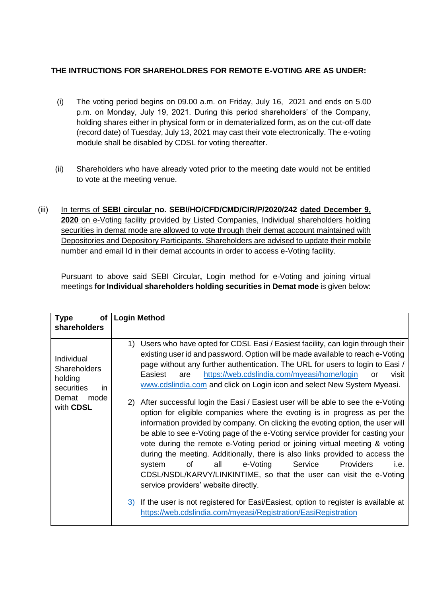# **THE INTRUCTIONS FOR SHAREHOLDRES FOR REMOTE E-VOTING ARE AS UNDER:**

- (i) The voting period begins on 09.00 a.m. on Friday, July 16, 2021 and ends on 5.00 p.m. on Monday, July 19, 2021. During this period shareholders' of the Company, holding shares either in physical form or in dematerialized form, as on the cut-off date (record date) of Tuesday, July 13, 2021 may cast their vote electronically. The e-voting module shall be disabled by CDSL for voting thereafter.
- (ii) Shareholders who have already voted prior to the meeting date would not be entitled to vote at the meeting venue.
- (iii) In terms of **SEBI circular no. SEBI/HO/CFD/CMD/CIR/P/2020/242 dated December 9, 2020** on e-Voting facility provided by Listed Companies, Individual shareholders holding securities in demat mode are allowed to vote through their demat account maintained with Depositories and Depository Participants. Shareholders are advised to update their mobile number and email Id in their demat accounts in order to access e-Voting facility.

Pursuant to above said SEBI Circular**,** Login method for e-Voting and joining virtual meetings **for Individual shareholders holding securities in Demat mode** is given below:

| <b>Type</b><br>of                                                                               | <b>Login Method</b>                                                                                                                                                                                                                                                                                                                                                                                                                                                                                                                                                                                                                                                                                                                                                                                                                                                                                                                                                                                                                                                                                                                                                                                                                                                              |
|-------------------------------------------------------------------------------------------------|----------------------------------------------------------------------------------------------------------------------------------------------------------------------------------------------------------------------------------------------------------------------------------------------------------------------------------------------------------------------------------------------------------------------------------------------------------------------------------------------------------------------------------------------------------------------------------------------------------------------------------------------------------------------------------------------------------------------------------------------------------------------------------------------------------------------------------------------------------------------------------------------------------------------------------------------------------------------------------------------------------------------------------------------------------------------------------------------------------------------------------------------------------------------------------------------------------------------------------------------------------------------------------|
| shareholders                                                                                    |                                                                                                                                                                                                                                                                                                                                                                                                                                                                                                                                                                                                                                                                                                                                                                                                                                                                                                                                                                                                                                                                                                                                                                                                                                                                                  |
| Individual<br><b>Shareholders</b><br>holding<br>securities<br>in.<br>Demat<br>mode<br>with CDSL | Users who have opted for CDSL Easi / Easiest facility, can login through their<br>1)<br>existing user id and password. Option will be made available to reach e-Voting<br>page without any further authentication. The URL for users to login to Easi /<br>https://web.cdslindia.com/myeasi/home/login<br>Easiest<br>visit<br>are<br>or<br>www.cdslindia.com and click on Login icon and select New System Myeasi.<br>2) After successful login the Easi / Easiest user will be able to see the e-Voting<br>option for eligible companies where the evoting is in progress as per the<br>information provided by company. On clicking the evoting option, the user will<br>be able to see e-Voting page of the e-Voting service provider for casting your<br>vote during the remote e-Voting period or joining virtual meeting & voting<br>during the meeting. Additionally, there is also links provided to access the<br>e-Voting<br>Service<br>Providers<br>of the control<br>all<br>i.e.<br>system<br>CDSL/NSDL/KARVY/LINKINTIME, so that the user can visit the e-Voting<br>service providers' website directly.<br>3) If the user is not registered for Easi/Easiest, option to register is available at<br>https://web.cdslindia.com/myeasi/Registration/EasiRegistration |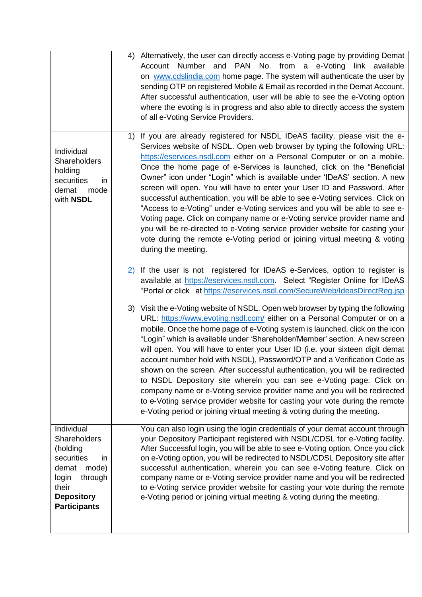|                                                                                                                                                       | 4) Alternatively, the user can directly access e-Voting page by providing Demat<br>Account Number and PAN No. from a e-Voting link available<br>on www.cdslindia.com home page. The system will authenticate the user by<br>sending OTP on registered Mobile & Email as recorded in the Demat Account.<br>After successful authentication, user will be able to see the e-Voting option<br>where the evoting is in progress and also able to directly access the system<br>of all e-Voting Service Providers.                                                                                                                                                                                                                                                                                                                                                                                                  |
|-------------------------------------------------------------------------------------------------------------------------------------------------------|----------------------------------------------------------------------------------------------------------------------------------------------------------------------------------------------------------------------------------------------------------------------------------------------------------------------------------------------------------------------------------------------------------------------------------------------------------------------------------------------------------------------------------------------------------------------------------------------------------------------------------------------------------------------------------------------------------------------------------------------------------------------------------------------------------------------------------------------------------------------------------------------------------------|
| Individual<br>Shareholders<br>holding<br>securities<br>in<br>demat<br>mode<br>with NSDL                                                               | If you are already registered for NSDL IDeAS facility, please visit the e-<br>1)<br>Services website of NSDL. Open web browser by typing the following URL:<br>https://eservices.nsdl.com either on a Personal Computer or on a mobile.<br>Once the home page of e-Services is launched, click on the "Beneficial<br>Owner" icon under "Login" which is available under 'IDeAS' section. A new<br>screen will open. You will have to enter your User ID and Password. After<br>successful authentication, you will be able to see e-Voting services. Click on<br>"Access to e-Voting" under e-Voting services and you will be able to see e-<br>Voting page. Click on company name or e-Voting service provider name and<br>you will be re-directed to e-Voting service provider website for casting your<br>vote during the remote e-Voting period or joining virtual meeting & voting<br>during the meeting. |
|                                                                                                                                                       | 2) If the user is not registered for IDeAS e-Services, option to register is<br>available at https://eservices.nsdl.com. Select "Register Online for IDeAS<br>"Portal or click at https://eservices.nsdl.com/SecureWeb/IdeasDirectReg.jsp                                                                                                                                                                                                                                                                                                                                                                                                                                                                                                                                                                                                                                                                      |
|                                                                                                                                                       | 3) Visit the e-Voting website of NSDL. Open web browser by typing the following<br>URL: https://www.evoting.nsdl.com/ either on a Personal Computer or on a<br>mobile. Once the home page of e-Voting system is launched, click on the icon<br>"Login" which is available under 'Shareholder/Member' section. A new screen<br>will open. You will have to enter your User ID (i.e. your sixteen digit demat<br>account number hold with NSDL), Password/OTP and a Verification Code as<br>shown on the screen. After successful authentication, you will be redirected<br>to NSDL Depository site wherein you can see e-Voting page. Click on<br>company name or e-Voting service provider name and you will be redirected<br>to e-Voting service provider website for casting your vote during the remote<br>e-Voting period or joining virtual meeting & voting during the meeting.                          |
| Individual<br>Shareholders<br>(holding<br>securities<br>in<br>demat<br>mode)<br>login<br>through<br>their<br><b>Depository</b><br><b>Participants</b> | You can also login using the login credentials of your demat account through<br>your Depository Participant registered with NSDL/CDSL for e-Voting facility.<br>After Successful login, you will be able to see e-Voting option. Once you click<br>on e-Voting option, you will be redirected to NSDL/CDSL Depository site after<br>successful authentication, wherein you can see e-Voting feature. Click on<br>company name or e-Voting service provider name and you will be redirected<br>to e-Voting service provider website for casting your vote during the remote<br>e-Voting period or joining virtual meeting & voting during the meeting.                                                                                                                                                                                                                                                          |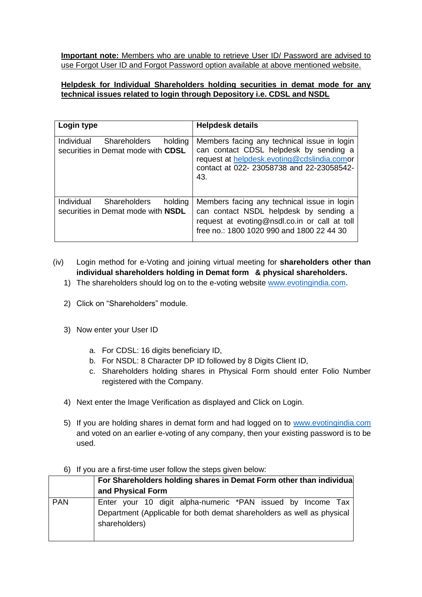**Important note:** Members who are unable to retrieve User ID/ Password are advised to use Forgot User ID and Forgot Password option available at above mentioned website.

# **Helpdesk for Individual Shareholders holding securities in demat mode for any technical issues related to login through Depository i.e. CDSL and NSDL**

| Login type                                                                                | <b>Helpdesk details</b>                                                                                                                                                                 |
|-------------------------------------------------------------------------------------------|-----------------------------------------------------------------------------------------------------------------------------------------------------------------------------------------|
| Individual<br><b>Shareholders</b><br>holding<br>securities in Demat mode with CDSL        | Members facing any technical issue in login<br>can contact CDSL helpdesk by sending a<br>request at helpdesk.evoting@cdslindia.comor<br>contact at 022-23058738 and 22-23058542-<br>43. |
| Individual<br><b>Shareholders</b><br>holding<br>securities in Demat mode with <b>NSDL</b> | Members facing any technical issue in login<br>can contact NSDL helpdesk by sending a<br>request at evoting@nsdl.co.in or call at toll<br>free no.: 1800 1020 990 and 1800 22 44 30     |

- (iv) Login method for e-Voting and joining virtual meeting for **shareholders other than individual shareholders holding in Demat form & physical shareholders.**
	- 1) The shareholders should log on to the e-voting website [www.evotingindia.com.](http://www.evotingindia.com/)
	- 2) Click on "Shareholders" module.
	- 3) Now enter your User ID
		- a. For CDSL: 16 digits beneficiary ID,
		- b. For NSDL: 8 Character DP ID followed by 8 Digits Client ID,
		- c. Shareholders holding shares in Physical Form should enter Folio Number registered with the Company.
	- 4) Next enter the Image Verification as displayed and Click on Login.
	- 5) If you are holding shares in demat form and had logged on to [www.evotingindia.com](http://www.evotingindia.com/) and voted on an earlier e-voting of any company, then your existing password is to be used.

# 6) If you are a first-time user follow the steps given below:

|            | For Shareholders holding shares in Demat Form other than individual                                                                                    |
|------------|--------------------------------------------------------------------------------------------------------------------------------------------------------|
|            | and Physical Form                                                                                                                                      |
| <b>PAN</b> | Enter your 10 digit alpha-numeric *PAN issued by Income Tax<br>Department (Applicable for both demat shareholders as well as physical<br>shareholders) |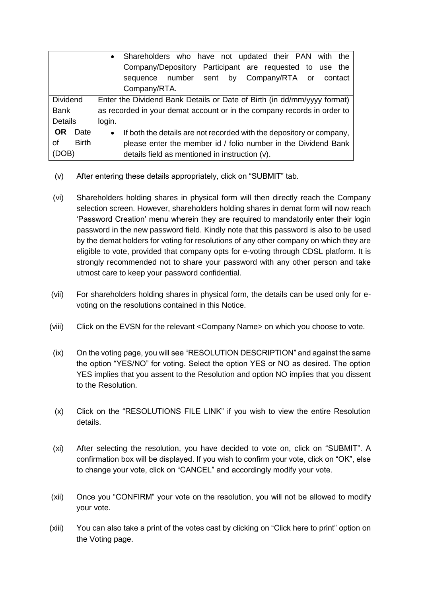|                   | Shareholders who have not updated their PAN with the<br>$\bullet$                 |
|-------------------|-----------------------------------------------------------------------------------|
|                   | Company/Depository Participant are requested to use the                           |
|                   | sequence number sent by Company/RTA or contact                                    |
|                   | Company/RTA.                                                                      |
| <b>Dividend</b>   | Enter the Dividend Bank Details or Date of Birth (in dd/mm/yyyy format)           |
| <b>Bank</b>       | as recorded in your demat account or in the company records in order to           |
| <b>Details</b>    | login.                                                                            |
| <b>OR</b><br>Date | If both the details are not recorded with the depository or company,<br>$\bullet$ |
| of<br>Birth       | please enter the member id / folio number in the Dividend Bank                    |
| (DOB)             | details field as mentioned in instruction (v).                                    |

- (v) After entering these details appropriately, click on "SUBMIT" tab.
- (vi) Shareholders holding shares in physical form will then directly reach the Company selection screen. However, shareholders holding shares in demat form will now reach 'Password Creation' menu wherein they are required to mandatorily enter their login password in the new password field. Kindly note that this password is also to be used by the demat holders for voting for resolutions of any other company on which they are eligible to vote, provided that company opts for e-voting through CDSL platform. It is strongly recommended not to share your password with any other person and take utmost care to keep your password confidential.
- (vii) For shareholders holding shares in physical form, the details can be used only for evoting on the resolutions contained in this Notice.
- (viii) Click on the EVSN for the relevant <Company Name> on which you choose to vote.
- (ix) On the voting page, you will see "RESOLUTION DESCRIPTION" and against the same the option "YES/NO" for voting. Select the option YES or NO as desired. The option YES implies that you assent to the Resolution and option NO implies that you dissent to the Resolution.
- (x) Click on the "RESOLUTIONS FILE LINK" if you wish to view the entire Resolution details.
- (xi) After selecting the resolution, you have decided to vote on, click on "SUBMIT". A confirmation box will be displayed. If you wish to confirm your vote, click on "OK", else to change your vote, click on "CANCEL" and accordingly modify your vote.
- (xii) Once you "CONFIRM" your vote on the resolution, you will not be allowed to modify your vote.
- (xiii) You can also take a print of the votes cast by clicking on "Click here to print" option on the Voting page.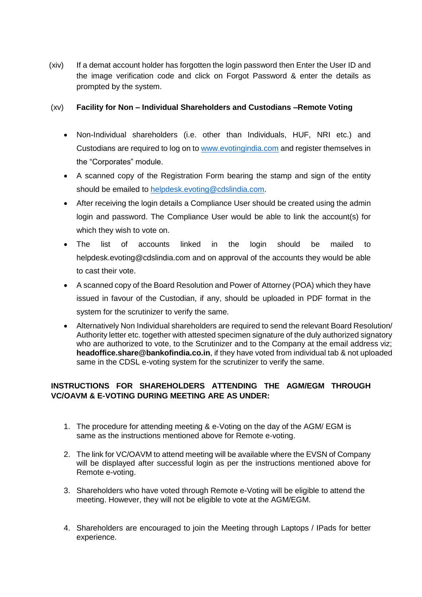(xiv) If a demat account holder has forgotten the login password then Enter the User ID and the image verification code and click on Forgot Password & enter the details as prompted by the system.

# (xv) **Facility for Non – Individual Shareholders and Custodians –Remote Voting**

- Non-Individual shareholders (i.e. other than Individuals, HUF, NRI etc.) and Custodians are required to log on t[o www.evotingindia.com](http://www.evotingindia.com/) and register themselves in the "Corporates" module.
- A scanned copy of the Registration Form bearing the stamp and sign of the entity should be emailed to [helpdesk.evoting@cdslindia.com.](mailto:helpdesk.evoting@cdslindia.com)
- After receiving the login details a Compliance User should be created using the admin login and password. The Compliance User would be able to link the account(s) for which they wish to vote on.
- The list of accounts linked in the login should be mailed to helpdesk.evoting@cdslindia.com and on approval of the accounts they would be able to cast their vote.
- A scanned copy of the Board Resolution and Power of Attorney (POA) which they have issued in favour of the Custodian, if any, should be uploaded in PDF format in the system for the scrutinizer to verify the same.
- Alternatively Non Individual shareholders are required to send the relevant Board Resolution/ Authority letter etc. together with attested specimen signature of the duly authorized signatory who are authorized to vote, to the Scrutinizer and to the Company at the email address viz; **headoffice.share@bankofindia.co.in**, if they have voted from individual tab & not uploaded same in the CDSL e-voting system for the scrutinizer to verify the same.

# **INSTRUCTIONS FOR SHAREHOLDERS ATTENDING THE AGM/EGM THROUGH VC/OAVM & E-VOTING DURING MEETING ARE AS UNDER:**

- 1. The procedure for attending meeting & e-Voting on the day of the AGM/ EGM is same as the instructions mentioned above for Remote e-voting.
- 2. The link for VC/OAVM to attend meeting will be available where the EVSN of Company will be displayed after successful login as per the instructions mentioned above for Remote e-voting.
- 3. Shareholders who have voted through Remote e-Voting will be eligible to attend the meeting. However, they will not be eligible to vote at the AGM/EGM.
- 4. Shareholders are encouraged to join the Meeting through Laptops / IPads for better experience.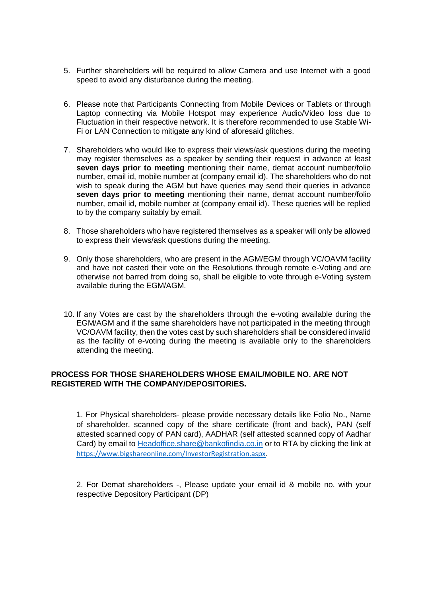- 5. Further shareholders will be required to allow Camera and use Internet with a good speed to avoid any disturbance during the meeting.
- 6. Please note that Participants Connecting from Mobile Devices or Tablets or through Laptop connecting via Mobile Hotspot may experience Audio/Video loss due to Fluctuation in their respective network. It is therefore recommended to use Stable Wi-Fi or LAN Connection to mitigate any kind of aforesaid glitches.
- 7. Shareholders who would like to express their views/ask questions during the meeting may register themselves as a speaker by sending their request in advance at least **seven days prior to meeting** mentioning their name, demat account number/folio number, email id, mobile number at (company email id). The shareholders who do not wish to speak during the AGM but have queries may send their queries in advance **seven days prior to meeting** mentioning their name, demat account number/folio number, email id, mobile number at (company email id). These queries will be replied to by the company suitably by email.
- 8. Those shareholders who have registered themselves as a speaker will only be allowed to express their views/ask questions during the meeting.
- 9. Only those shareholders, who are present in the AGM/EGM through VC/OAVM facility and have not casted their vote on the Resolutions through remote e-Voting and are otherwise not barred from doing so, shall be eligible to vote through e-Voting system available during the EGM/AGM.
- 10. If any Votes are cast by the shareholders through the e-voting available during the EGM/AGM and if the same shareholders have not participated in the meeting through VC/OAVM facility, then the votes cast by such shareholders shall be considered invalid as the facility of e-voting during the meeting is available only to the shareholders attending the meeting.

# **PROCESS FOR THOSE SHAREHOLDERS WHOSE EMAIL/MOBILE NO. ARE NOT REGISTERED WITH THE COMPANY/DEPOSITORIES.**

1. For Physical shareholders- please provide necessary details like Folio No., Name of shareholder, scanned copy of the share certificate (front and back), PAN (self attested scanned copy of PAN card), AADHAR (self attested scanned copy of Aadhar Card) by email to [Headoffice.share@bankofindia.co.in](mailto:Headoffice.share@bankofindia.co.in) or to RTA by clicking the link at <https://www.bigshareonline.com/InvestorRegistration.aspx>.

2. For Demat shareholders -, Please update your email id & mobile no. with your respective Depository Participant (DP)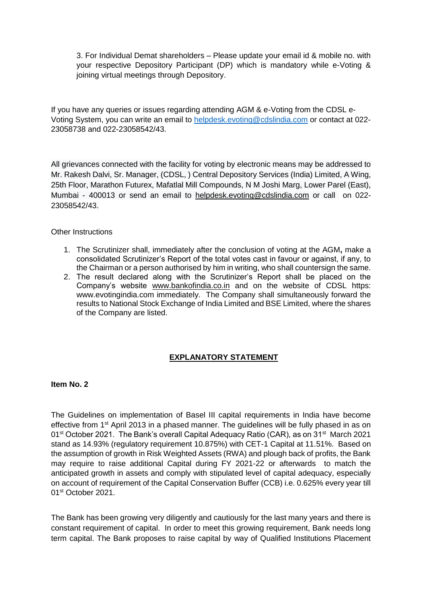3. For Individual Demat shareholders – Please update your email id & mobile no. with your respective Depository Participant (DP) which is mandatory while e-Voting & joining virtual meetings through Depository.

If you have any queries or issues regarding attending AGM & e-Voting from the CDSL e-Voting System, you can write an email to [helpdesk.evoting@cdslindia.com](mailto:helpdesk.evoting@cdslindia.com) or contact at 022- 23058738 and 022-23058542/43.

All grievances connected with the facility for voting by electronic means may be addressed to Mr. Rakesh Dalvi, Sr. Manager, (CDSL, ) Central Depository Services (India) Limited, A Wing, 25th Floor, Marathon Futurex, Mafatlal Mill Compounds, N M Joshi Marg, Lower Parel (East), Mumbai - 400013 or send an email to [helpdesk.evoting@cdslindia.com](mailto:helpdesk.evoting@cdslindia.com) or call on 022- 23058542/43.

Other Instructions

- 1. The Scrutinizer shall, immediately after the conclusion of voting at the AGM**,** make a consolidated Scrutinizer's Report of the total votes cast in favour or against, if any, to the Chairman or a person authorised by him in writing, who shall countersign the same.
- 2. The result declared along with the Scrutinizer's Report shall be placed on the Company's website [www.bankofindia.co.in](http://www.bankofindia.co.in/) and on the website of CDSL https: www.evotingindia.com immediately. The Company shall simultaneously forward the results to National Stock Exchange of India Limited and BSE Limited, where the shares of the Company are listed.

# **EXPLANATORY STATEMENT**

# **Item No. 2**

The Guidelines on implementation of Basel III capital requirements in India have become effective from 1st April 2013 in a phased manner. The guidelines will be fully phased in as on 01<sup>st</sup> October 2021. The Bank's overall Capital Adequacy Ratio (CAR), as on 31<sup>st</sup> March 2021 stand as 14.93% (regulatory requirement 10.875%) with CET-1 Capital at 11.51%. Based on the assumption of growth in Risk Weighted Assets (RWA) and plough back of profits, the Bank may require to raise additional Capital during FY 2021-22 or afterwards to match the anticipated growth in assets and comply with stipulated level of capital adequacy, especially on account of requirement of the Capital Conservation Buffer (CCB) i.e. 0.625% every year till 01st October 2021.

The Bank has been growing very diligently and cautiously for the last many years and there is constant requirement of capital. In order to meet this growing requirement, Bank needs long term capital. The Bank proposes to raise capital by way of Qualified Institutions Placement